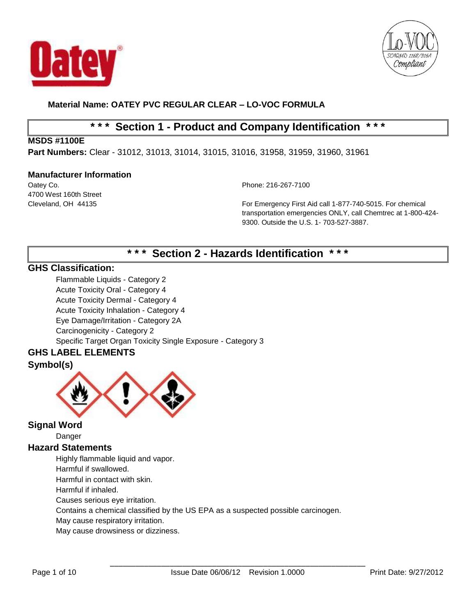



# **\* \* \* Section 1 - Product and Company Identification \* \* \***

## **MSDS #1100E**

**Part Numbers:** Clear - 31012, 31013, 31014, 31015, 31016, 31958, 31959, 31960, 31961

#### **Manufacturer Information**

Oatey Co. Phone: 216-267-7100 4700 West 160th Street

Cleveland, OH 44135 For Emergency First Aid call 1-877-740-5015. For chemical transportation emergencies ONLY, call Chemtrec at 1-800-424- 9300. Outside the U.S. 1- 703-527-3887.

# **\* \* \* Section 2 - Hazards Identification \* \* \***

# **GHS Classification:**

Flammable Liquids - Category 2 Acute Toxicity Oral - Category 4 Acute Toxicity Dermal - Category 4 Acute Toxicity Inhalation - Category 4 Eye Damage/Irritation - Category 2A Carcinogenicity - Category 2 Specific Target Organ Toxicity Single Exposure - Category 3

# **GHS LABEL ELEMENTS**

# **Symbol(s)**



# **Signal Word**

Danger

## **Hazard Statements**

Highly flammable liquid and vapor.

Harmful if swallowed.

Harmful in contact with skin.

Harmful if inhaled.

Causes serious eye irritation.

Contains a chemical classified by the US EPA as a suspected possible carcinogen.

May cause respiratory irritation.

May cause drowsiness or dizziness.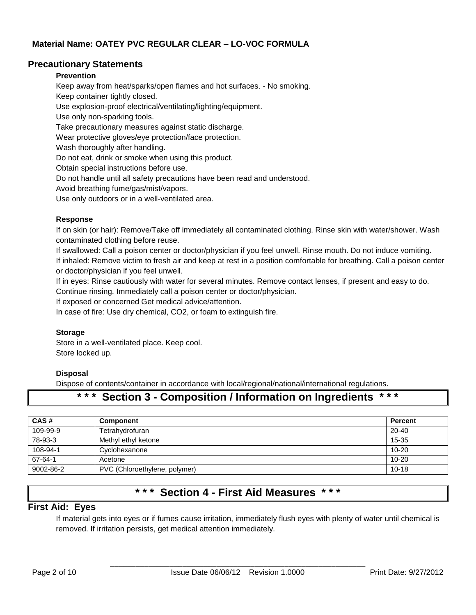### **Precautionary Statements**

#### **Prevention**

Keep away from heat/sparks/open flames and hot surfaces. - No smoking. Keep container tightly closed. Use explosion-proof electrical/ventilating/lighting/equipment. Use only non-sparking tools. Take precautionary measures against static discharge. Wear protective gloves/eye protection/face protection. Wash thoroughly after handling. Do not eat, drink or smoke when using this product. Obtain special instructions before use. Do not handle until all safety precautions have been read and understood. Avoid breathing fume/gas/mist/vapors.

Use only outdoors or in a well-ventilated area.

#### **Response**

If on skin (or hair): Remove/Take off immediately all contaminated clothing. Rinse skin with water/shower. Wash contaminated clothing before reuse.

If swallowed: Call a poison center or doctor/physician if you feel unwell. Rinse mouth. Do not induce vomiting. If inhaled: Remove victim to fresh air and keep at rest in a position comfortable for breathing. Call a poison center or doctor/physician if you feel unwell.

If in eyes: Rinse cautiously with water for several minutes. Remove contact lenses, if present and easy to do. Continue rinsing. Immediately call a poison center or doctor/physician.

If exposed or concerned Get medical advice/attention.

In case of fire: Use dry chemical, CO2, or foam to extinguish fire.

#### **Storage**

Store in a well-ventilated place. Keep cool. Store locked up.

#### **Disposal**

Dispose of contents/container in accordance with local/regional/national/international regulations.

# **\* \* \* Section 3 - Composition / Information on Ingredients \* \* \***

| CAS#      | <b>Component</b>              | <b>Percent</b> |
|-----------|-------------------------------|----------------|
| 109-99-9  | Tetrahydrofuran               | $20 - 40$      |
| 78-93-3   | Methyl ethyl ketone           | $15 - 35$      |
| 108-94-1  | Cyclohexanone                 | $10 - 20$      |
| 67-64-1   | Acetone                       | $10 - 20$      |
| 9002-86-2 | PVC (Chloroethylene, polymer) | $10 - 18$      |

# **\* \* \* Section 4 - First Aid Measures \* \* \***

### **First Aid: Eyes**

If material gets into eyes or if fumes cause irritation, immediately flush eyes with plenty of water until chemical is removed. If irritation persists, get medical attention immediately.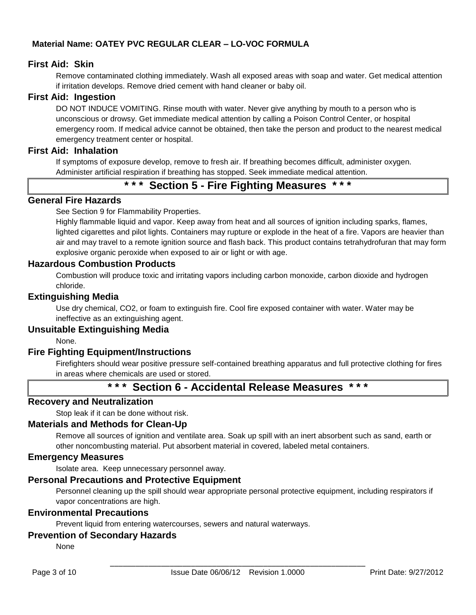### **First Aid: Skin**

Remove contaminated clothing immediately. Wash all exposed areas with soap and water. Get medical attention if irritation develops. Remove dried cement with hand cleaner or baby oil.

#### **First Aid: Ingestion**

DO NOT INDUCE VOMITING. Rinse mouth with water. Never give anything by mouth to a person who is unconscious or drowsy. Get immediate medical attention by calling a Poison Control Center, or hospital emergency room. If medical advice cannot be obtained, then take the person and product to the nearest medical emergency treatment center or hospital.

#### **First Aid: Inhalation**

If symptoms of exposure develop, remove to fresh air. If breathing becomes difficult, administer oxygen. Administer artificial respiration if breathing has stopped. Seek immediate medical attention.

# **\* \* \* Section 5 - Fire Fighting Measures \* \* \***

# **General Fire Hazards**

See Section 9 for Flammability Properties.

Highly flammable liquid and vapor. Keep away from heat and all sources of ignition including sparks, flames, lighted cigarettes and pilot lights. Containers may rupture or explode in the heat of a fire. Vapors are heavier than air and may travel to a remote ignition source and flash back. This product contains tetrahydrofuran that may form explosive organic peroxide when exposed to air or light or with age.

#### **Hazardous Combustion Products**

Combustion will produce toxic and irritating vapors including carbon monoxide, carbon dioxide and hydrogen chloride.

#### **Extinguishing Media**

Use dry chemical, CO2, or foam to extinguish fire. Cool fire exposed container with water. Water may be ineffective as an extinguishing agent.

#### **Unsuitable Extinguishing Media**

None.

## **Fire Fighting Equipment/Instructions**

Firefighters should wear positive pressure self-contained breathing apparatus and full protective clothing for fires in areas where chemicals are used or stored.

# **\* \* \* Section 6 - Accidental Release Measures \* \* \***

#### **Recovery and Neutralization**

Stop leak if it can be done without risk.

#### **Materials and Methods for Clean-Up**

Remove all sources of ignition and ventilate area. Soak up spill with an inert absorbent such as sand, earth or other noncombusting material. Put absorbent material in covered, labeled metal containers.

#### **Emergency Measures**

Isolate area. Keep unnecessary personnel away.

#### **Personal Precautions and Protective Equipment**

Personnel cleaning up the spill should wear appropriate personal protective equipment, including respirators if vapor concentrations are high.

#### **Environmental Precautions**

Prevent liquid from entering watercourses, sewers and natural waterways.

## **Prevention of Secondary Hazards**

None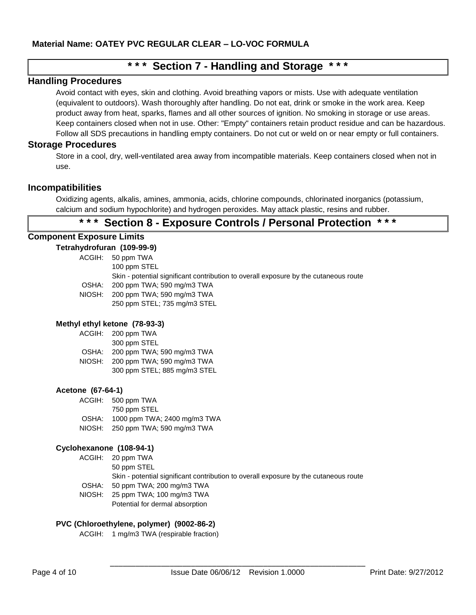# **\* \* \* Section 7 - Handling and Storage \* \* \***

#### **Handling Procedures**

Avoid contact with eyes, skin and clothing. Avoid breathing vapors or mists. Use with adequate ventilation (equivalent to outdoors). Wash thoroughly after handling. Do not eat, drink or smoke in the work area. Keep product away from heat, sparks, flames and all other sources of ignition. No smoking in storage or use areas. Keep containers closed when not in use. Other: "Empty" containers retain product residue and can be hazardous. Follow all SDS precautions in handling empty containers. Do not cut or weld on or near empty or full containers.

#### **Storage Procedures**

Store in a cool, dry, well-ventilated area away from incompatible materials. Keep containers closed when not in use.

### **Incompatibilities**

Oxidizing agents, alkalis, amines, ammonia, acids, chlorine compounds, chlorinated inorganics (potassium, calcium and sodium hypochlorite) and hydrogen peroxides. May attack plastic, resins and rubber.

# **\* \* \* Section 8 - Exposure Controls / Personal Protection \* \* \***

#### **Component Exposure Limits**

#### **Tetrahydrofuran (109-99-9)**

ACGIH: 50 ppm TWA 100 ppm STEL Skin - potential significant contribution to overall exposure by the cutaneous route OSHA: 200 ppm TWA; 590 mg/m3 TWA NIOSH: 200 ppm TWA; 590 mg/m3 TWA 250 ppm STEL; 735 mg/m3 STEL

#### **Methyl ethyl ketone (78-93-3)**

| ACGIH: | 200 ppm TWA                  |
|--------|------------------------------|
|        | 300 ppm STEL                 |
| OSHA:  | 200 ppm TWA; 590 mg/m3 TWA   |
| NIOSH: | 200 ppm TWA; 590 mg/m3 TWA   |
|        | 300 ppm STEL; 885 mg/m3 STEL |

#### **Acetone (67-64-1)**

ACGIH: 500 ppm TWA 750 ppm STEL OSHA: 1000 ppm TWA; 2400 mg/m3 TWA NIOSH: 250 ppm TWA; 590 mg/m3 TWA

#### **Cyclohexanone (108-94-1)**

ACGIH: 20 ppm TWA 50 ppm STEL Skin - potential significant contribution to overall exposure by the cutaneous route OSHA: 50 ppm TWA; 200 mg/m3 TWA NIOSH: 25 ppm TWA; 100 mg/m3 TWA

Potential for dermal absorption

#### **PVC (Chloroethylene, polymer) (9002-86-2)**

ACGIH: 1 mg/m3 TWA (respirable fraction)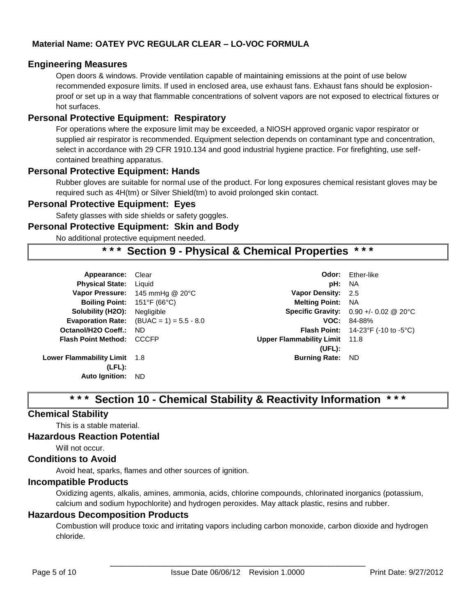## **Engineering Measures**

Open doors & windows. Provide ventilation capable of maintaining emissions at the point of use below recommended exposure limits. If used in enclosed area, use exhaust fans. Exhaust fans should be explosionproof or set up in a way that flammable concentrations of solvent vapors are not exposed to electrical fixtures or hot surfaces.

# **Personal Protective Equipment: Respiratory**

For operations where the exposure limit may be exceeded, a NIOSH approved organic vapor respirator or supplied air respirator is recommended. Equipment selection depends on contaminant type and concentration, select in accordance with 29 CFR 1910.134 and good industrial hygiene practice. For firefighting, use selfcontained breathing apparatus.

## **Personal Protective Equipment: Hands**

Rubber gloves are suitable for normal use of the product. For long exposures chemical resistant gloves may be required such as 4H(tm) or Silver Shield(tm) to avoid prolonged skin contact.

#### **Personal Protective Equipment: Eyes**

Safety glasses with side shields or safety goggles.

#### **Personal Protective Equipment: Skin and Body**

No additional protective equipment needed.

# **\* \* \* Section 9 - Physical & Chemical Properties \* \* \***

| Appearance:                  | Clear                                             |                                      | <b>Odor:</b> Ether-like                                       |
|------------------------------|---------------------------------------------------|--------------------------------------|---------------------------------------------------------------|
| <b>Physical State:</b>       | Liguid                                            | pH:                                  | NA                                                            |
| <b>Vapor Pressure:</b>       | 145 mmHg @ 20°C                                   | Vapor Density: 2.5                   |                                                               |
| <b>Boiling Point:</b>        | 151°F (66°C)                                      | <b>Melting Point:</b>                | - NA                                                          |
| Solubility (H2O):            | Negligible                                        |                                      | <b>Specific Gravity:</b> $0.90 +/- 0.02$ @ 20°C               |
|                              | <b>Evaporation Rate:</b> $(BUAC = 1) = 5.5 - 8.0$ |                                      | $VOC: 84-88%$                                                 |
| Octanol/H2O Coeff.:          | ND.                                               |                                      | <b>Flash Point:</b> $14-23^{\circ}F$ (-10 to -5 $^{\circ}C$ ) |
| <b>Flash Point Method:</b>   | CCCFP                                             | <b>Upper Flammability Limit</b> 11.8 |                                                               |
|                              |                                                   | (UEL):                               |                                                               |
| Lower Flammability Limit 1.8 |                                                   | Burning Rate: ND                     |                                                               |
| $(LFL)$ :                    |                                                   |                                      |                                                               |
| <b>Auto Ignition:</b>        | <b>ND</b>                                         |                                      |                                                               |
|                              |                                                   |                                      |                                                               |

# **\* \* \* Section 10 - Chemical Stability & Reactivity Information \* \* \***

## **Chemical Stability**

This is a stable material.

#### **Hazardous Reaction Potential**

Will not occur.

## **Conditions to Avoid**

Avoid heat, sparks, flames and other sources of ignition.

## **Incompatible Products**

Oxidizing agents, alkalis, amines, ammonia, acids, chlorine compounds, chlorinated inorganics (potassium, calcium and sodium hypochlorite) and hydrogen peroxides. May attack plastic, resins and rubber.

#### **Hazardous Decomposition Products**

Combustion will produce toxic and irritating vapors including carbon monoxide, carbon dioxide and hydrogen chloride.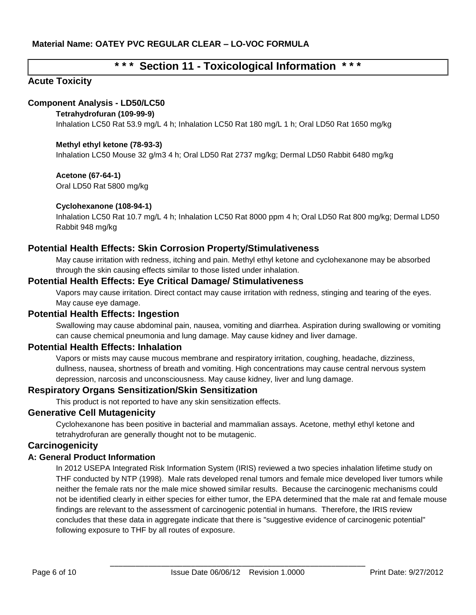# **\* \* \* Section 11 - Toxicological Information \* \* \***

# **Acute Toxicity**

## **Component Analysis - LD50/LC50**

#### **Tetrahydrofuran (109-99-9)**

Inhalation LC50 Rat 53.9 mg/L 4 h; Inhalation LC50 Rat 180 mg/L 1 h; Oral LD50 Rat 1650 mg/kg

#### **Methyl ethyl ketone (78-93-3)**

Inhalation LC50 Mouse 32 g/m3 4 h; Oral LD50 Rat 2737 mg/kg; Dermal LD50 Rabbit 6480 mg/kg

#### **Acetone (67-64-1)**

Oral LD50 Rat 5800 mg/kg

#### **Cyclohexanone (108-94-1)**

Inhalation LC50 Rat 10.7 mg/L 4 h; Inhalation LC50 Rat 8000 ppm 4 h; Oral LD50 Rat 800 mg/kg; Dermal LD50 Rabbit 948 mg/kg

## **Potential Health Effects: Skin Corrosion Property/Stimulativeness**

May cause irritation with redness, itching and pain. Methyl ethyl ketone and cyclohexanone may be absorbed through the skin causing effects similar to those listed under inhalation.

## **Potential Health Effects: Eye Critical Damage/ Stimulativeness**

Vapors may cause irritation. Direct contact may cause irritation with redness, stinging and tearing of the eyes. May cause eye damage.

## **Potential Health Effects: Ingestion**

Swallowing may cause abdominal pain, nausea, vomiting and diarrhea. Aspiration during swallowing or vomiting can cause chemical pneumonia and lung damage. May cause kidney and liver damage.

## **Potential Health Effects: Inhalation**

Vapors or mists may cause mucous membrane and respiratory irritation, coughing, headache, dizziness, dullness, nausea, shortness of breath and vomiting. High concentrations may cause central nervous system depression, narcosis and unconsciousness. May cause kidney, liver and lung damage.

## **Respiratory Organs Sensitization/Skin Sensitization**

This product is not reported to have any skin sensitization effects.

## **Generative Cell Mutagenicity**

Cyclohexanone has been positive in bacterial and mammalian assays. Acetone, methyl ethyl ketone and tetrahydrofuran are generally thought not to be mutagenic.

## **Carcinogenicity**

## **A: General Product Information**

In 2012 USEPA Integrated Risk Information System (IRIS) reviewed a two species inhalation lifetime study on THF conducted by NTP (1998). Male rats developed renal tumors and female mice developed liver tumors while neither the female rats nor the male mice showed similar results. Because the carcinogenic mechanisms could not be identified clearly in either species for either tumor, the EPA determined that the male rat and female mouse findings are relevant to the assessment of carcinogenic potential in humans. Therefore, the IRIS review concludes that these data in aggregate indicate that there is "suggestive evidence of carcinogenic potential" following exposure to THF by all routes of exposure.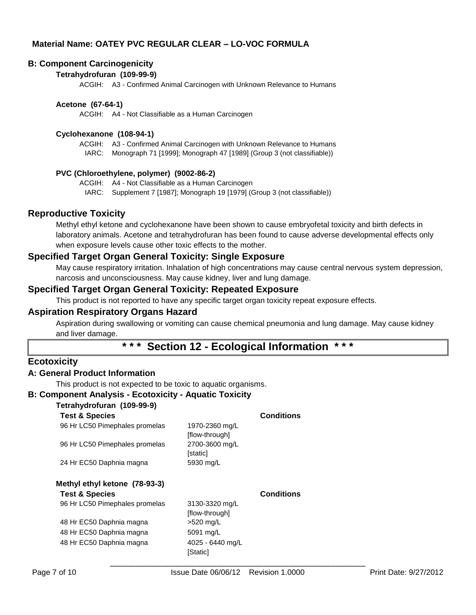#### **B: Component Carcinogenicity**

#### **Tetrahydrofuran (109-99-9)**

ACGIH: A3 - Confirmed Animal Carcinogen with Unknown Relevance to Humans

#### **Acetone (67-64-1)**

ACGIH: A4 - Not Classifiable as a Human Carcinogen

#### **Cyclohexanone (108-94-1)**

ACGIH: A3 - Confirmed Animal Carcinogen with Unknown Relevance to Humans IARC: Monograph 71 [1999]; Monograph 47 [1989] (Group 3 (not classifiable))

#### **PVC (Chloroethylene, polymer) (9002-86-2)**

ACGIH: A4 - Not Classifiable as a Human Carcinogen

IARC: Supplement 7 [1987]; Monograph 19 [1979] (Group 3 (not classifiable))

#### **Reproductive Toxicity**

Methyl ethyl ketone and cyclohexanone have been shown to cause embryofetal toxicity and birth defects in laboratory animals. Acetone and tetrahydrofuran has been found to cause adverse developmental effects only when exposure levels cause other toxic effects to the mother.

#### **Specified Target Organ General Toxicity: Single Exposure**

May cause respiratory irritation. Inhalation of high concentrations may cause central nervous system depression, narcosis and unconsciousness. May cause kidney, liver and lung damage.

#### **Specified Target Organ General Toxicity: Repeated Exposure**

This product is not reported to have any specific target organ toxicity repeat exposure effects.

#### **Aspiration Respiratory Organs Hazard**

Aspiration during swallowing or vomiting can cause chemical pneumonia and lung damage. May cause kidney and liver damage.

# **\* \* \* Section 12 - Ecological Information \* \* \***

#### **Ecotoxicity**

#### **A: General Product Information**

This product is not expected to be toxic to aquatic organisms.

## **B: Component Analysis - Ecotoxicity - Aquatic Toxicity**

#### **Tetrahydrofuran (109-99-9)**

| <b>Test &amp; Species</b>      |                                  | <b>Conditions</b> |
|--------------------------------|----------------------------------|-------------------|
| 96 Hr LC50 Pimephales promelas | 1970-2360 mg/L<br>[flow-through] |                   |
| 96 Hr LC50 Pimephales promelas | 2700-3600 mg/L<br>[static]       |                   |
| 24 Hr EC50 Daphnia magna       | 5930 mg/L                        |                   |
| Methyl ethyl ketone (78-93-3)  |                                  |                   |
| <b>Test &amp; Species</b>      |                                  | <b>Conditions</b> |
| 96 Hr LC50 Pimephales promelas | 3130-3320 mg/L<br>[flow-through] |                   |
| 48 Hr EC50 Daphnia magna       | >520 mg/L                        |                   |
| 48 Hr EC50 Daphnia magna       | 5091 mg/L                        |                   |
|                                |                                  |                   |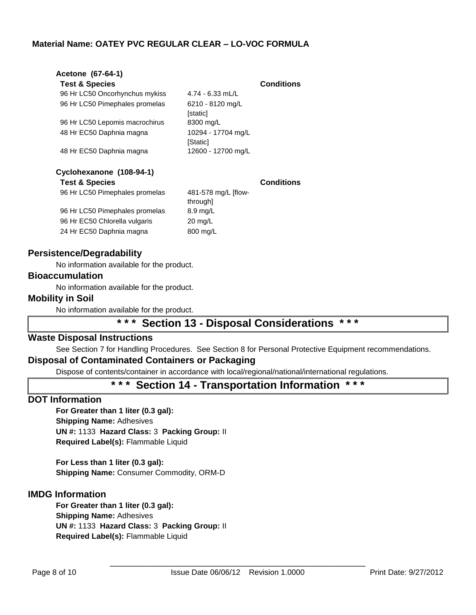| Acetone (67-64-1)              |                                 |                   |
|--------------------------------|---------------------------------|-------------------|
| <b>Test &amp; Species</b>      |                                 | <b>Conditions</b> |
| 96 Hr LC50 Oncorhynchus mykiss | $4.74 - 6.33$ mL/L              |                   |
| 96 Hr LC50 Pimephales promelas | 6210 - 8120 mg/L<br>[static]    |                   |
| 96 Hr LC50 Lepomis macrochirus | 8300 mg/L                       |                   |
| 48 Hr EC50 Daphnia magna       | 10294 - 17704 mg/L<br>[Static]  |                   |
| 48 Hr EC50 Daphnia magna       | 12600 - 12700 mg/L              |                   |
| Cyclohexanone (108-94-1)       |                                 |                   |
| <b>Test &amp; Species</b>      |                                 | <b>Conditions</b> |
| 96 Hr LC50 Pimephales promelas | 481-578 mg/L [flow-<br>through] |                   |
| 96 Hr LC50 Pimephales promelas | 8.9 mg/L                        |                   |
| 96 Hr EC50 Chlorella vulgaris  | $20 \text{ mg/L}$               |                   |
| 24 Hr EC50 Daphnia magna       | 800 mg/L                        |                   |

## **Persistence/Degradability**

No information available for the product.

#### **Bioaccumulation**

No information available for the product.

#### **Mobility in Soil**

No information available for the product.

# **\* \* \* Section 13 - Disposal Considerations \* \* \***

## **Waste Disposal Instructions**

See Section 7 for Handling Procedures. See Section 8 for Personal Protective Equipment recommendations.

## **Disposal of Contaminated Containers or Packaging**

Dispose of contents/container in accordance with local/regional/national/international regulations.

# **\* \* \* Section 14 - Transportation Information \* \* \***

#### **DOT Information**

**For Greater than 1 liter (0.3 gal): Shipping Name:** Adhesives **UN #:** 1133 **Hazard Class:** 3 **Packing Group:** II **Required Label(s):** Flammable Liquid

**For Less than 1 liter (0.3 gal): Shipping Name:** Consumer Commodity, ORM-D

## **IMDG Information**

**For Greater than 1 liter (0.3 gal): Shipping Name:** Adhesives **UN #:** 1133 **Hazard Class:** 3 **Packing Group:** II **Required Label(s):** Flammable Liquid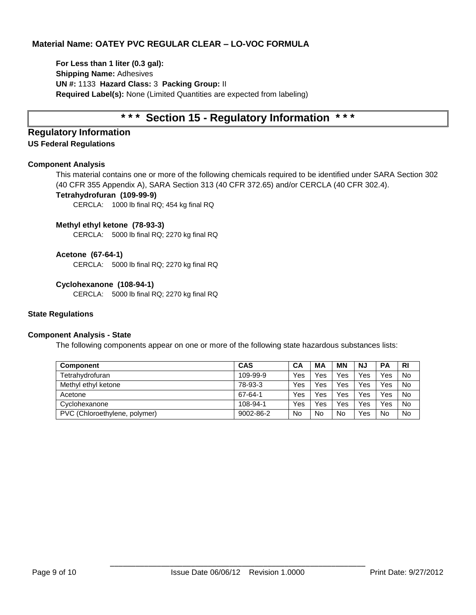**For Less than 1 liter (0.3 gal): Shipping Name:** Adhesives **UN #:** 1133 **Hazard Class:** 3 **Packing Group:** II **Required Label(s):** None (Limited Quantities are expected from labeling)

# **\* \* \* Section 15 - Regulatory Information \* \* \***

#### **Regulatory Information US Federal Regulations**

#### **Component Analysis**

This material contains one or more of the following chemicals required to be identified under SARA Section 302 (40 CFR 355 Appendix A), SARA Section 313 (40 CFR 372.65) and/or CERCLA (40 CFR 302.4).

#### **Tetrahydrofuran (109-99-9)**

CERCLA: 1000 lb final RQ; 454 kg final RQ

#### **Methyl ethyl ketone (78-93-3)**

CERCLA: 5000 lb final RQ; 2270 kg final RQ

#### **Acetone (67-64-1)**

CERCLA: 5000 lb final RQ; 2270 kg final RQ

#### **Cyclohexanone (108-94-1)**

CERCLA: 5000 lb final RQ; 2270 kg final RQ

#### **State Regulations**

#### **Component Analysis - State**

The following components appear on one or more of the following state hazardous substances lists:

| Component                     | <b>CAS</b> | CA  | ΜA        | <b>MN</b> | NJ  | <b>PA</b> | <b>RI</b> |
|-------------------------------|------------|-----|-----------|-----------|-----|-----------|-----------|
| Tetrahydrofuran               | 109-99-9   | Yes | Yes       | Yes       | Yes | Yes       | No        |
| Methyl ethyl ketone           | 78-93-3    | Yes | Yes       | Yes       | Yes | Yes       | No        |
| Acetone                       | 67-64-1    | Yes | Yes       | Yes       | Yes | Yes       | No        |
| Cyclohexanone                 | 108-94-1   | Yes | Yes       | Yes       | Yes | Yes       | <b>No</b> |
| PVC (Chloroethylene, polymer) | 9002-86-2  | No  | <b>No</b> | <b>No</b> | Yes | No        | No        |